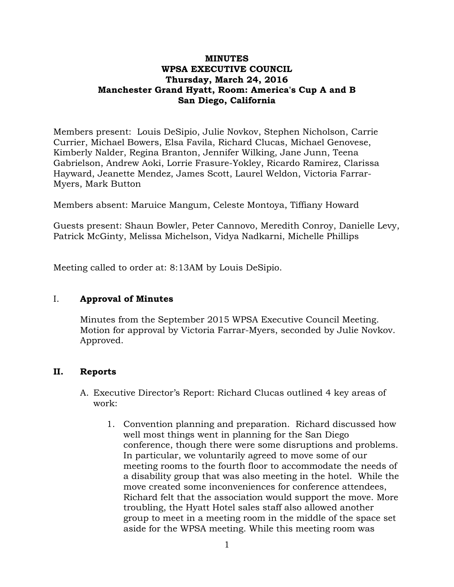## **MINUTES WPSA EXECUTIVE COUNCIL Thursday, March 24, 2016 Manchester Grand Hyatt, Room: America's Cup A and B San Diego, California**

Members present: Louis DeSipio, Julie Novkov, Stephen Nicholson, Carrie Currier, Michael Bowers, Elsa Favila, Richard Clucas, Michael Genovese, Kimberly Nalder, Regina Branton, Jennifer Wilking, Jane Junn, Teena Gabrielson, Andrew Aoki, Lorrie Frasure-Yokley, Ricardo Ramirez, Clarissa Hayward, Jeanette Mendez, James Scott, Laurel Weldon, Victoria Farrar-Myers, Mark Button

Members absent: Maruice Mangum, Celeste Montoya, Tiffiany Howard

Guests present: Shaun Bowler, Peter Cannovo, Meredith Conroy, Danielle Levy, Patrick McGinty, Melissa Michelson, Vidya Nadkarni, Michelle Phillips

Meeting called to order at: 8:13AM by Louis DeSipio.

# I. **Approval of Minutes**

Minutes from the September 2015 WPSA Executive Council Meeting. Motion for approval by Victoria Farrar-Myers, seconded by Julie Novkov. Approved.

# **II. Reports**

- A. Executive Director's Report: Richard Clucas outlined 4 key areas of work:
	- 1. Convention planning and preparation. Richard discussed how well most things went in planning for the San Diego conference, though there were some disruptions and problems. In particular, we voluntarily agreed to move some of our meeting rooms to the fourth floor to accommodate the needs of a disability group that was also meeting in the hotel. While the move created some inconveniences for conference attendees, Richard felt that the association would support the move. More troubling, the Hyatt Hotel sales staff also allowed another group to meet in a meeting room in the middle of the space set aside for the WPSA meeting. While this meeting room was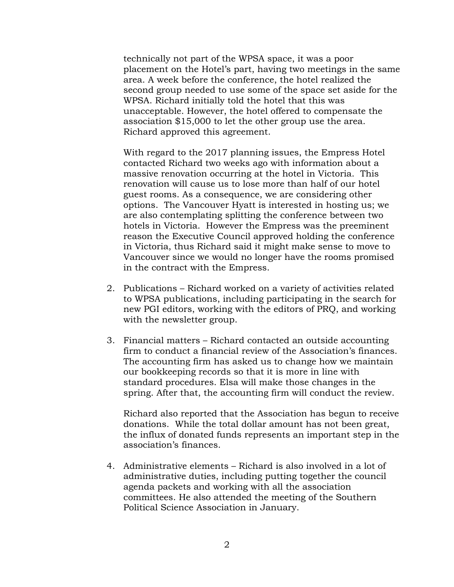technically not part of the WPSA space, it was a poor placement on the Hotel's part, having two meetings in the same area. A week before the conference, the hotel realized the second group needed to use some of the space set aside for the WPSA. Richard initially told the hotel that this was unacceptable. However, the hotel offered to compensate the association \$15,000 to let the other group use the area. Richard approved this agreement.

With regard to the 2017 planning issues, the Empress Hotel contacted Richard two weeks ago with information about a massive renovation occurring at the hotel in Victoria. This renovation will cause us to lose more than half of our hotel guest rooms. As a consequence, we are considering other options. The Vancouver Hyatt is interested in hosting us; we are also contemplating splitting the conference between two hotels in Victoria. However the Empress was the preeminent reason the Executive Council approved holding the conference in Victoria, thus Richard said it might make sense to move to Vancouver since we would no longer have the rooms promised in the contract with the Empress.

- 2. Publications Richard worked on a variety of activities related to WPSA publications, including participating in the search for new PGI editors, working with the editors of PRQ, and working with the newsletter group.
- 3. Financial matters Richard contacted an outside accounting firm to conduct a financial review of the Association's finances. The accounting firm has asked us to change how we maintain our bookkeeping records so that it is more in line with standard procedures. Elsa will make those changes in the spring. After that, the accounting firm will conduct the review.

Richard also reported that the Association has begun to receive donations. While the total dollar amount has not been great, the influx of donated funds represents an important step in the association's finances.

4. Administrative elements – Richard is also involved in a lot of administrative duties, including putting together the council agenda packets and working with all the association committees. He also attended the meeting of the Southern Political Science Association in January.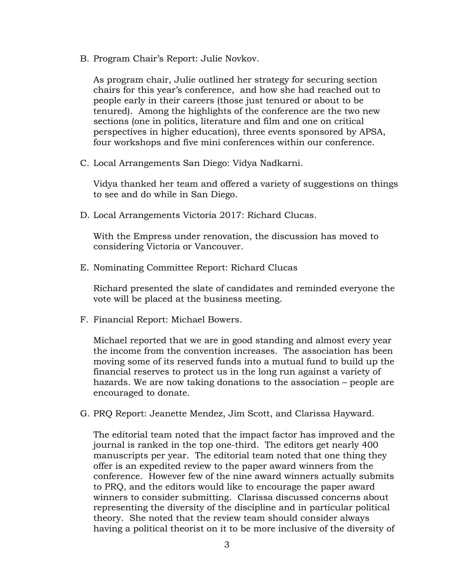B. Program Chair's Report: Julie Novkov.

As program chair, Julie outlined her strategy for securing section chairs for this year's conference, and how she had reached out to people early in their careers (those just tenured or about to be tenured). Among the highlights of the conference are the two new sections (one in politics, literature and film and one on critical perspectives in higher education), three events sponsored by APSA, four workshops and five mini conferences within our conference.

C. Local Arrangements San Diego: Vidya Nadkarni.

Vidya thanked her team and offered a variety of suggestions on things to see and do while in San Diego.

D. Local Arrangements Victoria 2017: Richard Clucas.

With the Empress under renovation, the discussion has moved to considering Victoria or Vancouver.

E. Nominating Committee Report: Richard Clucas

Richard presented the slate of candidates and reminded everyone the vote will be placed at the business meeting.

F. Financial Report: Michael Bowers.

Michael reported that we are in good standing and almost every year the income from the convention increases. The association has been moving some of its reserved funds into a mutual fund to build up the financial reserves to protect us in the long run against a variety of hazards. We are now taking donations to the association – people are encouraged to donate.

G. PRQ Report: Jeanette Mendez, Jim Scott, and Clarissa Hayward.

The editorial team noted that the impact factor has improved and the journal is ranked in the top one-third. The editors get nearly 400 manuscripts per year. The editorial team noted that one thing they offer is an expedited review to the paper award winners from the conference. However few of the nine award winners actually submits to PRQ, and the editors would like to encourage the paper award winners to consider submitting. Clarissa discussed concerns about representing the diversity of the discipline and in particular political theory. She noted that the review team should consider always having a political theorist on it to be more inclusive of the diversity of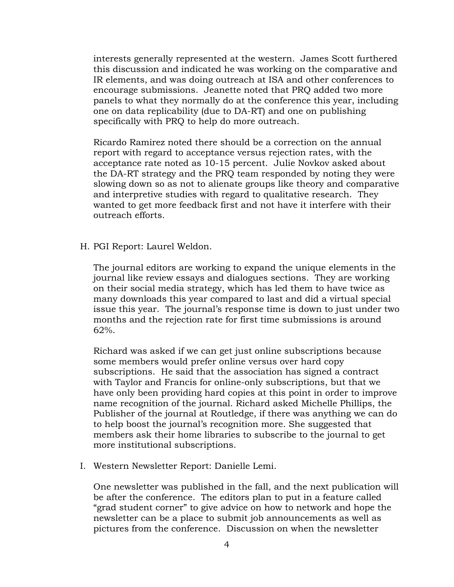interests generally represented at the western. James Scott furthered this discussion and indicated he was working on the comparative and IR elements, and was doing outreach at ISA and other conferences to encourage submissions. Jeanette noted that PRQ added two more panels to what they normally do at the conference this year, including one on data replicability (due to DA-RT) and one on publishing specifically with PRQ to help do more outreach.

Ricardo Ramirez noted there should be a correction on the annual report with regard to acceptance versus rejection rates, with the acceptance rate noted as 10-15 percent. Julie Novkov asked about the DA-RT strategy and the PRQ team responded by noting they were slowing down so as not to alienate groups like theory and comparative and interpretive studies with regard to qualitative research. They wanted to get more feedback first and not have it interfere with their outreach efforts.

H. PGI Report: Laurel Weldon.

The journal editors are working to expand the unique elements in the journal like review essays and dialogues sections. They are working on their social media strategy, which has led them to have twice as many downloads this year compared to last and did a virtual special issue this year. The journal's response time is down to just under two months and the rejection rate for first time submissions is around 62%.

Richard was asked if we can get just online subscriptions because some members would prefer online versus over hard copy subscriptions. He said that the association has signed a contract with Taylor and Francis for online-only subscriptions, but that we have only been providing hard copies at this point in order to improve name recognition of the journal. Richard asked Michelle Phillips, the Publisher of the journal at Routledge, if there was anything we can do to help boost the journal's recognition more. She suggested that members ask their home libraries to subscribe to the journal to get more institutional subscriptions.

I. Western Newsletter Report: Danielle Lemi.

One newsletter was published in the fall, and the next publication will be after the conference. The editors plan to put in a feature called "grad student corner" to give advice on how to network and hope the newsletter can be a place to submit job announcements as well as pictures from the conference. Discussion on when the newsletter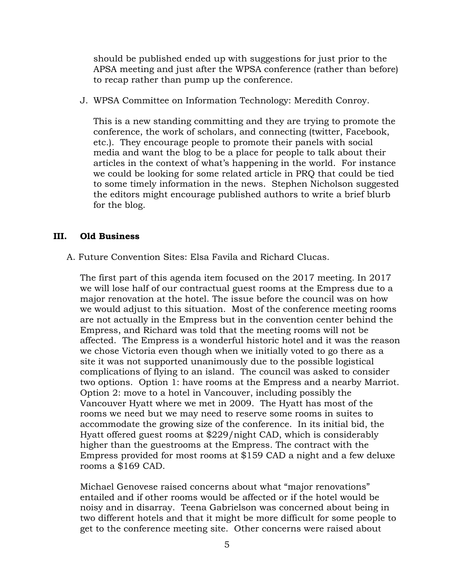should be published ended up with suggestions for just prior to the APSA meeting and just after the WPSA conference (rather than before) to recap rather than pump up the conference.

J. WPSA Committee on Information Technology: Meredith Conroy.

This is a new standing committing and they are trying to promote the conference, the work of scholars, and connecting (twitter, Facebook, etc.). They encourage people to promote their panels with social media and want the blog to be a place for people to talk about their articles in the context of what's happening in the world. For instance we could be looking for some related article in PRQ that could be tied to some timely information in the news. Stephen Nicholson suggested the editors might encourage published authors to write a brief blurb for the blog.

### **III. Old Business**

A. Future Convention Sites: Elsa Favila and Richard Clucas.

The first part of this agenda item focused on the 2017 meeting. In 2017 we will lose half of our contractual guest rooms at the Empress due to a major renovation at the hotel. The issue before the council was on how we would adjust to this situation. Most of the conference meeting rooms are not actually in the Empress but in the convention center behind the Empress, and Richard was told that the meeting rooms will not be affected. The Empress is a wonderful historic hotel and it was the reason we chose Victoria even though when we initially voted to go there as a site it was not supported unanimously due to the possible logistical complications of flying to an island. The council was asked to consider two options. Option 1: have rooms at the Empress and a nearby Marriot. Option 2: move to a hotel in Vancouver, including possibly the Vancouver Hyatt where we met in 2009. The Hyatt has most of the rooms we need but we may need to reserve some rooms in suites to accommodate the growing size of the conference. In its initial bid, the Hyatt offered guest rooms at \$229/night CAD, which is considerably higher than the guestrooms at the Empress. The contract with the Empress provided for most rooms at \$159 CAD a night and a few deluxe rooms a \$169 CAD.

Michael Genovese raised concerns about what "major renovations" entailed and if other rooms would be affected or if the hotel would be noisy and in disarray. Teena Gabrielson was concerned about being in two different hotels and that it might be more difficult for some people to get to the conference meeting site. Other concerns were raised about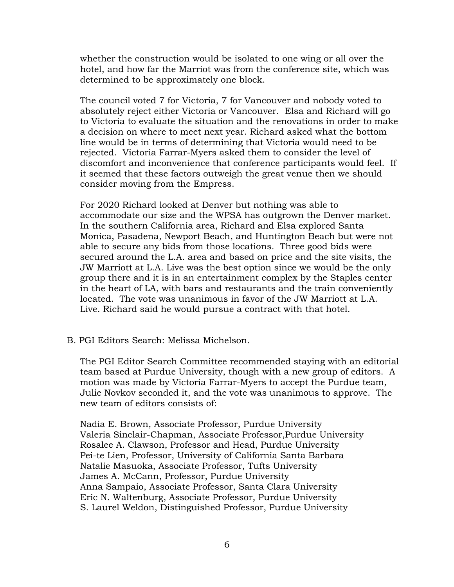whether the construction would be isolated to one wing or all over the hotel, and how far the Marriot was from the conference site, which was determined to be approximately one block.

The council voted 7 for Victoria, 7 for Vancouver and nobody voted to absolutely reject either Victoria or Vancouver. Elsa and Richard will go to Victoria to evaluate the situation and the renovations in order to make a decision on where to meet next year. Richard asked what the bottom line would be in terms of determining that Victoria would need to be rejected. Victoria Farrar-Myers asked them to consider the level of discomfort and inconvenience that conference participants would feel. If it seemed that these factors outweigh the great venue then we should consider moving from the Empress.

For 2020 Richard looked at Denver but nothing was able to accommodate our size and the WPSA has outgrown the Denver market. In the southern California area, Richard and Elsa explored Santa Monica, Pasadena, Newport Beach, and Huntington Beach but were not able to secure any bids from those locations. Three good bids were secured around the L.A. area and based on price and the site visits, the JW Marriott at L.A. Live was the best option since we would be the only group there and it is in an entertainment complex by the Staples center in the heart of LA, with bars and restaurants and the train conveniently located. The vote was unanimous in favor of the JW Marriott at L.A. Live. Richard said he would pursue a contract with that hotel.

#### B. PGI Editors Search: Melissa Michelson.

The PGI Editor Search Committee recommended staying with an editorial team based at Purdue University, though with a new group of editors. A motion was made by Victoria Farrar-Myers to accept the Purdue team, Julie Novkov seconded it, and the vote was unanimous to approve. The new team of editors consists of:

Nadia E. Brown, Associate Professor, Purdue University Valeria Sinclair-Chapman, Associate Professor,Purdue University Rosalee A. Clawson, Professor and Head, Purdue University Pei-te Lien, Professor, University of California Santa Barbara Natalie Masuoka, Associate Professor, Tufts University James A. McCann, Professor, Purdue University Anna Sampaio, Associate Professor, Santa Clara University Eric N. Waltenburg, Associate Professor, Purdue University S. Laurel Weldon, Distinguished Professor, Purdue University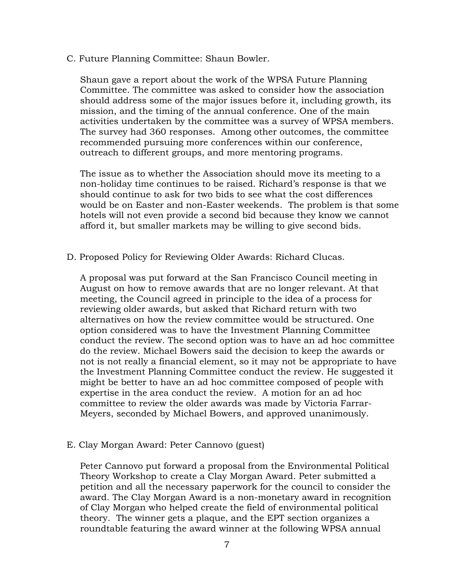C. Future Planning Committee: Shaun Bowler.

Shaun gave a report about the work of the WPSA Future Planning Committee. The committee was asked to consider how the association should address some of the major issues before it, including growth, its mission, and the timing of the annual conference. One of the main activities undertaken by the committee was a survey of WPSA members. The survey had 360 responses. Among other outcomes, the committee recommended pursuing more conferences within our conference, outreach to different groups, and more mentoring programs.

The issue as to whether the Association should move its meeting to a non-holiday time continues to be raised. Richard's response is that we should continue to ask for two bids to see what the cost differences would be on Easter and non-Easter weekends. The problem is that some hotels will not even provide a second bid because they know we cannot afford it, but smaller markets may be willing to give second bids.

D. Proposed Policy for Reviewing Older Awards: Richard Clucas.

A proposal was put forward at the San Francisco Council meeting in August on how to remove awards that are no longer relevant. At that meeting, the Council agreed in principle to the idea of a process for reviewing older awards, but asked that Richard return with two alternatives on how the review committee would be structured. One option considered was to have the Investment Planning Committee conduct the review. The second option was to have an ad hoc committee do the review. Michael Bowers said the decision to keep the awards or not is not really a financial element, so it may not be appropriate to have the Investment Planning Committee conduct the review. He suggested it might be better to have an ad hoc committee composed of people with expertise in the area conduct the review. A motion for an ad hoc committee to review the older awards was made by Victoria Farrar-Meyers, seconded by Michael Bowers, and approved unanimously.

E. Clay Morgan Award: Peter Cannovo (guest)

Peter Cannovo put forward a proposal from the Environmental Political Theory Workshop to create a Clay Morgan Award. Peter submitted a petition and all the necessary paperwork for the council to consider the award. The Clay Morgan Award is a non-monetary award in recognition of Clay Morgan who helped create the field of environmental political theory. The winner gets a plaque, and the EPT section organizes a roundtable featuring the award winner at the following WPSA annual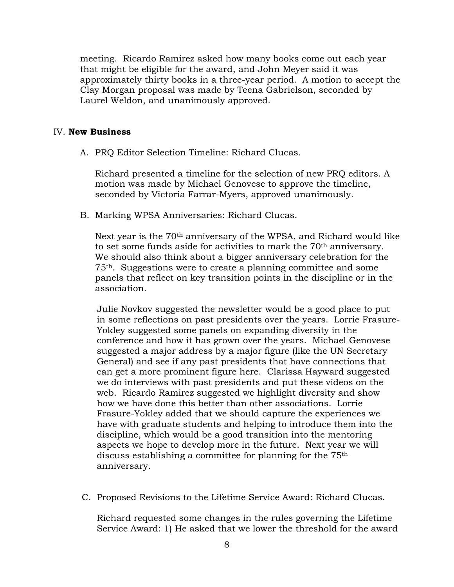meeting. Ricardo Ramirez asked how many books come out each year that might be eligible for the award, and John Meyer said it was approximately thirty books in a three-year period. A motion to accept the Clay Morgan proposal was made by Teena Gabrielson, seconded by Laurel Weldon, and unanimously approved.

### IV. **New Business**

A. PRQ Editor Selection Timeline: Richard Clucas.

Richard presented a timeline for the selection of new PRQ editors. A motion was made by Michael Genovese to approve the timeline, seconded by Victoria Farrar-Myers, approved unanimously.

B. Marking WPSA Anniversaries: Richard Clucas.

Next year is the 70<sup>th</sup> anniversary of the WPSA, and Richard would like to set some funds aside for activities to mark the 70th anniversary. We should also think about a bigger anniversary celebration for the 75th. Suggestions were to create a planning committee and some panels that reflect on key transition points in the discipline or in the association.

Julie Novkov suggested the newsletter would be a good place to put in some reflections on past presidents over the years. Lorrie Frasure-Yokley suggested some panels on expanding diversity in the conference and how it has grown over the years. Michael Genovese suggested a major address by a major figure (like the UN Secretary General) and see if any past presidents that have connections that can get a more prominent figure here. Clarissa Hayward suggested we do interviews with past presidents and put these videos on the web. Ricardo Ramirez suggested we highlight diversity and show how we have done this better than other associations. Lorrie Frasure-Yokley added that we should capture the experiences we have with graduate students and helping to introduce them into the discipline, which would be a good transition into the mentoring aspects we hope to develop more in the future. Next year we will discuss establishing a committee for planning for the 75th anniversary.

C. Proposed Revisions to the Lifetime Service Award: Richard Clucas.

Richard requested some changes in the rules governing the Lifetime Service Award: 1) He asked that we lower the threshold for the award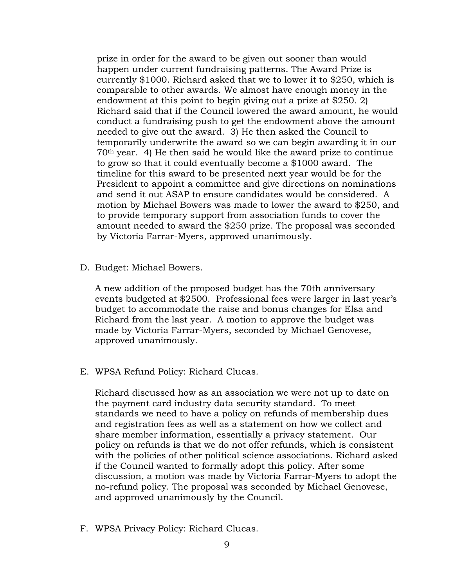prize in order for the award to be given out sooner than would happen under current fundraising patterns. The Award Prize is currently \$1000. Richard asked that we to lower it to \$250, which is comparable to other awards. We almost have enough money in the endowment at this point to begin giving out a prize at \$250. 2) Richard said that if the Council lowered the award amount, he would conduct a fundraising push to get the endowment above the amount needed to give out the award. 3) He then asked the Council to temporarily underwrite the award so we can begin awarding it in our 70th year. 4) He then said he would like the award prize to continue to grow so that it could eventually become a \$1000 award. The timeline for this award to be presented next year would be for the President to appoint a committee and give directions on nominations and send it out ASAP to ensure candidates would be considered. A motion by Michael Bowers was made to lower the award to \$250, and to provide temporary support from association funds to cover the amount needed to award the \$250 prize. The proposal was seconded by Victoria Farrar-Myers, approved unanimously.

D. Budget: Michael Bowers.

A new addition of the proposed budget has the 70th anniversary events budgeted at \$2500. Professional fees were larger in last year's budget to accommodate the raise and bonus changes for Elsa and Richard from the last year. A motion to approve the budget was made by Victoria Farrar-Myers, seconded by Michael Genovese, approved unanimously.

E. WPSA Refund Policy: Richard Clucas.

Richard discussed how as an association we were not up to date on the payment card industry data security standard. To meet standards we need to have a policy on refunds of membership dues and registration fees as well as a statement on how we collect and share member information, essentially a privacy statement. Our policy on refunds is that we do not offer refunds, which is consistent with the policies of other political science associations. Richard asked if the Council wanted to formally adopt this policy. After some discussion, a motion was made by Victoria Farrar-Myers to adopt the no-refund policy. The proposal was seconded by Michael Genovese, and approved unanimously by the Council.

F. WPSA Privacy Policy: Richard Clucas.